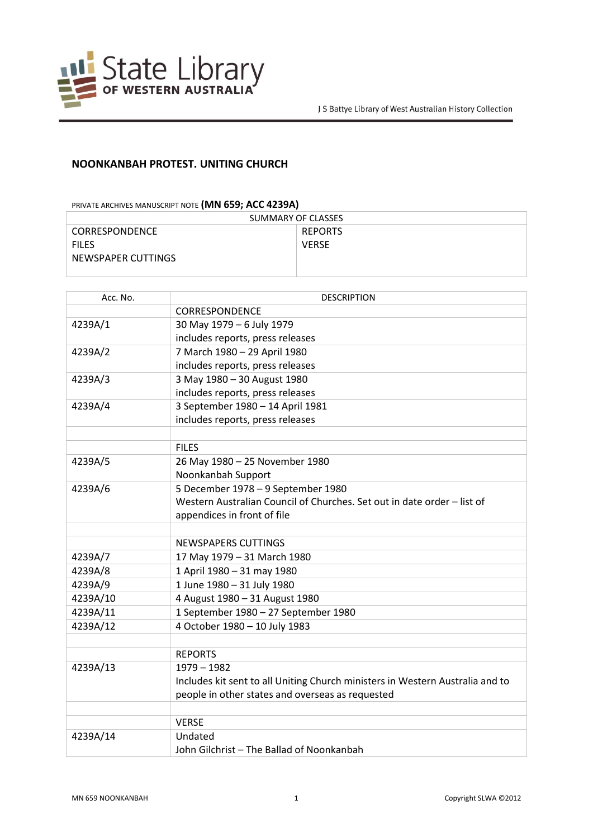

## **NOONKANBAH PROTEST. UNITING CHURCH**

## PRIVATE ARCHIVES MANUSCRIPT NOTE **(MN 659; ACC 4239A)**

| SUMMARY OF CLASSES    |                |  |
|-----------------------|----------------|--|
| <b>CORRESPONDENCE</b> | <b>REPORTS</b> |  |
| <b>FILES</b>          | <b>VERSE</b>   |  |
| NEWSPAPER CUTTINGS    |                |  |
|                       |                |  |

| Acc. No. | <b>DESCRIPTION</b>                                                            |
|----------|-------------------------------------------------------------------------------|
|          | <b>CORRESPONDENCE</b>                                                         |
| 4239A/1  | 30 May 1979 - 6 July 1979                                                     |
|          | includes reports, press releases                                              |
| 4239A/2  | 7 March 1980 - 29 April 1980                                                  |
|          | includes reports, press releases                                              |
| 4239A/3  | 3 May 1980 - 30 August 1980                                                   |
|          | includes reports, press releases                                              |
| 4239A/4  | 3 September 1980 - 14 April 1981                                              |
|          | includes reports, press releases                                              |
|          |                                                                               |
|          | <b>FILES</b>                                                                  |
| 4239A/5  | 26 May 1980 - 25 November 1980                                                |
|          | Noonkanbah Support                                                            |
| 4239A/6  | 5 December 1978 - 9 September 1980                                            |
|          | Western Australian Council of Churches. Set out in date order - list of       |
|          | appendices in front of file                                                   |
|          |                                                                               |
|          | NEWSPAPERS CUTTINGS                                                           |
| 4239A/7  | 17 May 1979 - 31 March 1980                                                   |
| 4239A/8  | 1 April 1980 - 31 may 1980                                                    |
| 4239A/9  | 1 June 1980 - 31 July 1980                                                    |
| 4239A/10 | 4 August 1980 - 31 August 1980                                                |
| 4239A/11 | 1 September 1980 - 27 September 1980                                          |
| 4239A/12 | 4 October 1980 - 10 July 1983                                                 |
|          |                                                                               |
|          | <b>REPORTS</b>                                                                |
| 4239A/13 | $1979 - 1982$                                                                 |
|          | Includes kit sent to all Uniting Church ministers in Western Australia and to |
|          | people in other states and overseas as requested                              |
|          |                                                                               |
|          | <b>VERSE</b>                                                                  |
| 4239A/14 | Undated                                                                       |
|          | John Gilchrist - The Ballad of Noonkanbah                                     |